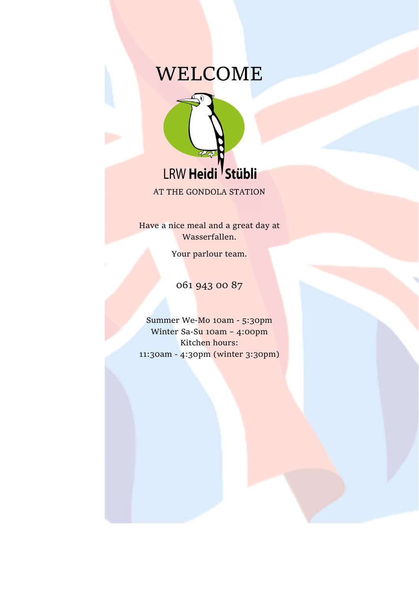# WELCOME



AT THE GONDOLA STATION

Have a nice meal and a great day at Wasserfallen.

Your parlour team.

061 943 00 87

Summer We-Mo 10am - 5:30pm Winter Sa-Su 10am - 4:00pm Kitchen hours: 11:30am - 4:30pm (winter 3:30pm)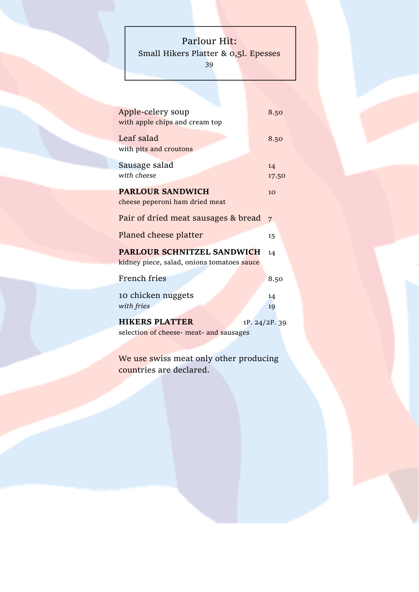# Parlour Hit:

Small Hikers Platter & 0,51. Epesses

39

| Apple-celery soup                          | 8.50           |
|--------------------------------------------|----------------|
| with apple chips and cream top             |                |
| Leaf salad                                 | 8.50           |
| with pits and croutons                     |                |
| Sausage salad                              | 14             |
| with cheese                                | 17.50          |
| <b>PARLOUR SANDWICH</b>                    | 1 <sub>O</sub> |
| cheese peperoni ham dried meat             |                |
| Pair of dried meat sausages & bread        |                |
|                                            | 7              |
| Planed cheese platter                      | 15             |
| <b>PARLOUR SCHNITZEL SANDWICH</b>          | 14             |
| kidney piece, salad, onions tomatoes sauce |                |
| French fries                               | 8.50           |
|                                            |                |
| 10 chicken nuggets                         | 14             |
| with fries                                 | 19             |
| <b>HIKERS PLATTER</b>                      | 1P. 24/2P. 39  |
| selection of cheese- meat- and sausages    |                |
|                                            |                |

We use swiss meat only other producing countries are declared.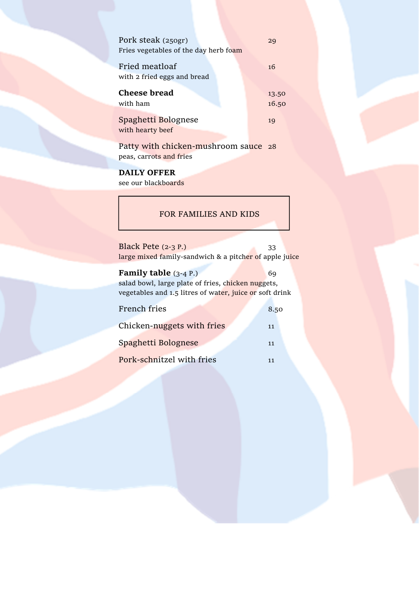| Pork steak (250gr)                    | 29    |
|---------------------------------------|-------|
| Fries vegetables of the day herb foam |       |
| Fried meatloaf                        | 16    |
| with 2 fried eggs and bread           |       |
| Cheese bread                          | 13.50 |
| with ham                              | 16.50 |
|                                       |       |
| Spaghetti Bolognese                   | 19    |
| with hearty beef                      |       |

Patty with chicken-mushroom sauce 28 peas, carrots and fries

# DAILY OFFER

see our blackboards

#### FOR FAMILIES AND KIDS

| Black Pete $(2-3P)$                                    | 33 |  |
|--------------------------------------------------------|----|--|
| large mixed family-sandwich & a pitcher of apple juice |    |  |

#### **Family table**  $(3-4)$  P.) 69 salad bowl, large plate of fries, chicken nuggets, vegetables and 1.5 litres of water, juice or soft drink

| French fries               | 8.50 |
|----------------------------|------|
| Chicken-nuggets with fries | 11   |
| Spaghetti Bolognese        | 11   |
| Pork-schnitzel with fries  | 11   |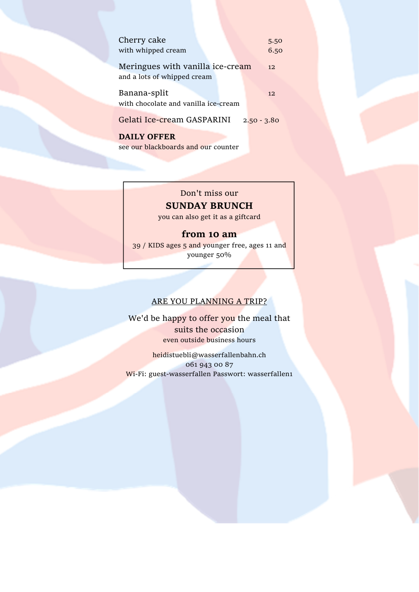| Cherry cake<br>with whipped cream                               | 5.50<br>6.50  |
|-----------------------------------------------------------------|---------------|
| Meringues with vanilla ice-cream<br>and a lots of whipped cream | 12.           |
| Banana-split<br>with chocolate and vanilla ice-cream            | 12.           |
| Gelati Ice-cream GASPARINI                                      | $2,50 - 3.80$ |

DAILY OFFER see our blackboards and our counter

### Don't miss our SUNDAY BRUNCH

you can also get it as a giftcard

## from 10 am

39 / KIDS ages 5 and younger free, ages 11 and younger 50%

#### ARE YOU PLANNING A TRIP?

We'd be happy to offer you the meal that suits the occasion even outside business hours

heidistuebli@wasserfallenbahn.ch 061 943 00 87 Wi-Fi: guest-wasserfallen Passwort: wasserfallen1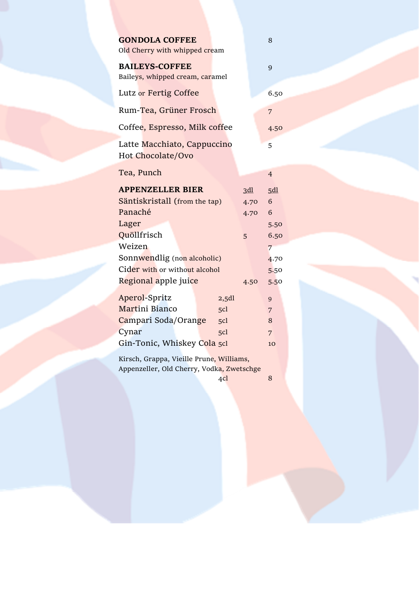| <b>GONDOLA COFFEE</b><br>Old Cherry with whipped cream                                      |                    |                         | 8                            |
|---------------------------------------------------------------------------------------------|--------------------|-------------------------|------------------------------|
| <b>BAILEYS-COFFEE</b><br>Baileys, whipped cream, caramel                                    |                    |                         | 9                            |
| Lutz or Fertig Coffee                                                                       |                    |                         | 6.50                         |
| Rum-Tea, Grüner Frosch                                                                      |                    |                         | 7                            |
| Coffee, Espresso, Milk coffee                                                               |                    |                         | 4.50                         |
| Latte Macchiato, Cappuccino<br><b>Hot Chocolate/Ovo</b>                                     |                    |                         | 5                            |
| Tea, Punch                                                                                  |                    |                         | $\overline{4}$               |
| <b>APPENZELLER BIER</b><br>Säntiskristall (from the tap)<br>Panaché<br>Lager<br>Quöllfrisch |                    | 3d<br>4.70<br>4.70<br>5 | 5d<br>6<br>6<br>5.50<br>6.50 |
| Weizen                                                                                      |                    |                         | 7                            |
| Sonnwendlig (non alcoholic)<br>Cider with or without alcohol<br>Regional apple juice        |                    | 4.50                    | 4.70<br>5.50<br>5.50         |
| <b>Aperol-Spritz</b><br>Martini Bianco<br>Campari Soda/Orange                               | 2,5d<br>5cl<br>5cl |                         | 9<br>7<br>8                  |
| Cynar<br>Gin-Tonic, Whiskey Cola 5cl                                                        | 5 <sub>cl</sub>    |                         | 7<br>10                      |
| Kirsch, Grappa, Vieille Prune, Williams,<br>Appenzeller, Old Cherry, Vodka, Zwetschge       |                    |                         |                              |

 $4c$ l 8